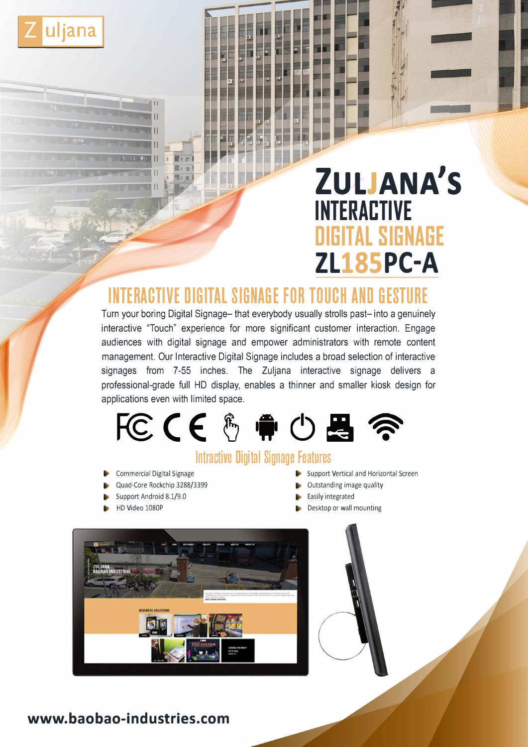

# **ZULJANA'S INTERACTIVE DIGITAL SIGNAGE ZL185PC-A**

# **INTERACTIVE DIGITAL SIGNAGE FOR TOUCH AND GESTURE**

Turn your boring Digital Signage- that everybody usually strolls past- into a genuinely interactive "Touch" experience for more significant customer interaction. Engage audiences with digital signage and empower administrators with remote content management. Our Interactive Digital Signage includes a broad selection of interactive signages from 7-55 inches. The Zuljana interactive signage delivers a professional-grade full HD display, enables a thinner and smaller kiosk design for applications even with limited space.



# **lntractive Digital Signage Features**

- Commercial Digital Signage
- Quad-Core Rockchip 3288/3399
- Support Android 8.1/9.0
- HD Video 1080P
- Support Vertical and Horizontal Screen
- Outstanding image quality
- Easily integrated
- Desktop or wall mounting